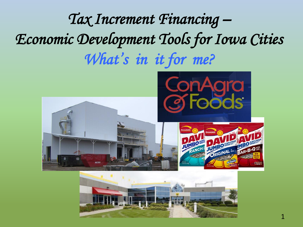## *Tax Increment Financing – Economic Development Tools for Iowa Cities What's in it for me?*



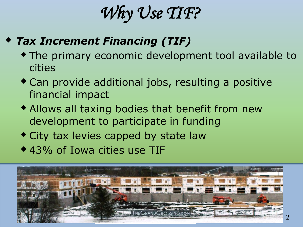*Why Use TIF?* 

#### *Tax Increment Financing (TIF)*

- The primary economic development tool available to cities
- Can provide additional jobs, resulting a positive financial impact
- Allows all taxing bodies that benefit from new development to participate in funding
- City tax levies capped by state law
- 43% of Iowa cities use TIF

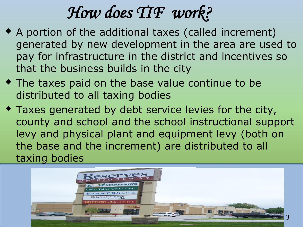## *How does TIF work?*

- A portion of the additional taxes (called increment) generated by new development in the area are used to pay for infrastructure in the district and incentives so that the business builds in the city
- The taxes paid on the base value continue to be distributed to all taxing bodies
- Taxes generated by debt service levies for the city, county and school and the school instructional support levy and physical plant and equipment levy (both on the base and the increment) are distributed to all taxing bodies

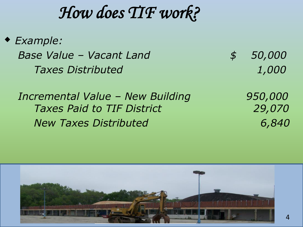## *How does TIF work?*

 *Example: Base Value – Vacant Land \$ 50,000 Taxes Distributed 1,000*

 *Incremental Value – New Building 950,000 Taxes Paid to TIF District 29,070 New Taxes Distributed 6,840*

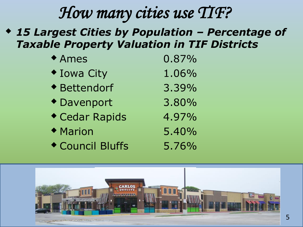## *How many cities use TIF?*

 *15 Largest Cities by Population – Percentage of Taxable Property Valuation in TIF Districts*

| ◆ Ames             | 0.87% |
|--------------------|-------|
| <b>* Iowa City</b> | 1.06% |
| ◆ Bettendorf       | 3.39% |
| ◆ Davenport        | 3.80% |
| Cedar Rapids       | 4.97% |
| ◆ Marion           | 5.40% |
| Council Bluffs     | 5.76% |

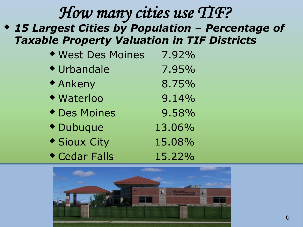## *How many cities use TIF?*

 *Taxable Property Valuation in TIF Districts 15 Largest Cities by Population – Percentage of* 

| ◆ West Des Moines       | 7.92%  |
|-------------------------|--------|
| ◆ Urbandale             | 7.95%  |
| <b>* Ankeny</b>         | 8.75%  |
| ◆ Waterloo              | 9.14%  |
| ◆ Des Moines            | 9.58%  |
| <i><b>• Dubuque</b></i> | 13.06% |
| ◆ Sioux City            | 15.08% |
| Cedar Falls             | 15.22% |

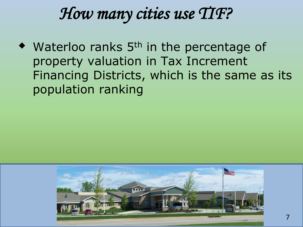## *How many cities use TIF?*

• Waterloo ranks 5<sup>th</sup> in the percentage of property valuation in Tax Increment Financing Districts, which is the same as its population ranking

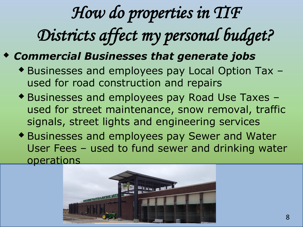# *How do properties in TIF Districts affect my personal budget?*

#### *Commercial Businesses that generate jobs*

- Businesses and employees pay Local Option Tax used for road construction and repairs
- Businesses and employees pay Road Use Taxes used for street maintenance, snow removal, traffic signals, street lights and engineering services
- Businesses and employees pay Sewer and Water User Fees – used to fund sewer and drinking water operations

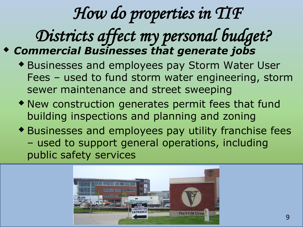## *How do properties in TIF*

## *Districts affect my personal budget? Commercial Businesses that generate jobs*

- Businesses and employees pay Storm Water User Fees – used to fund storm water engineering, storm sewer maintenance and street sweeping
- New construction generates permit fees that fund building inspections and planning and zoning
- Businesses and employees pay utility franchise fees – used to support general operations, including public safety services

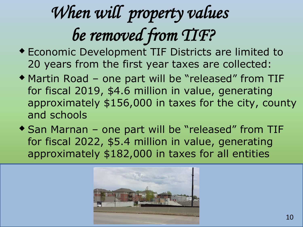# *When will property values be removed from TIF?*

- Economic Development TIF Districts are limited to 20 years from the first year taxes are collected:
- Martin Road one part will be "released" from TIF for fiscal 2019, \$4.6 million in value, generating approximately \$156,000 in taxes for the city, county and schools
- ◆ San Marnan one part will be "released" from TIF for fiscal 2022, \$5.4 million in value, generating approximately \$182,000 in taxes for all entities

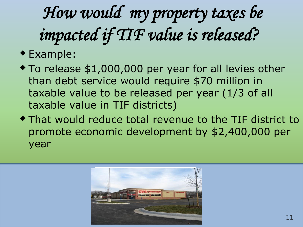# *How would my property taxes be impacted if TIF value is released?*

### Example:

- To release \$1,000,000 per year for all levies other than debt service would require \$70 million in taxable value to be released per year (1/3 of all taxable value in TIF districts)
- That would reduce total revenue to the TIF district to promote economic development by \$2,400,000 per year

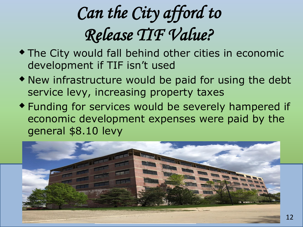# *Can the City afford to Release TIF Value?*

- The City would fall behind other cities in economic development if TIF isn't used
- New infrastructure would be paid for using the debt service levy, increasing property taxes
- Funding for services would be severely hampered if economic development expenses were paid by the general \$8.10 levy

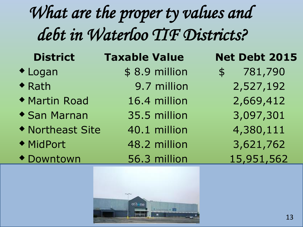## *What are the proper ty values and debt in Waterloo TIF Districts?*

- 
- 
- ◆ Martin Road 16.4 million 2,669,412
- San Marnan 35.5 million 3,097,301
- ◆ Northeast Site 40.1 million 4,380,111
- 
- Downtown 56.3 million 15,951,562

# **District Taxable Value 19 Net Debt 2015**<br> **•** Logan \$ 8.9 million \$ 781,790

- -
	-
	-
	-
- ◆ MidPort 48.2 million 3,621,762
	-

- \$ 8.9 million \$ 781,790 • Rath 9.7 million 2,527,192
	-
	-
	-
	-
	-

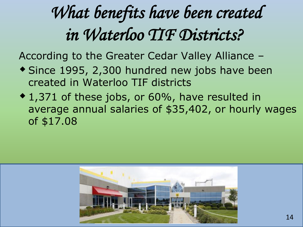# *What benefits have been created in Waterloo TIF Districts?*

According to the Greater Cedar Valley Alliance –

- Since 1995, 2,300 hundred new jobs have been created in Waterloo TIF districts
- ◆ 1,371 of these jobs, or 60%, have resulted in average annual salaries of \$35,402, or hourly wages of \$17.08